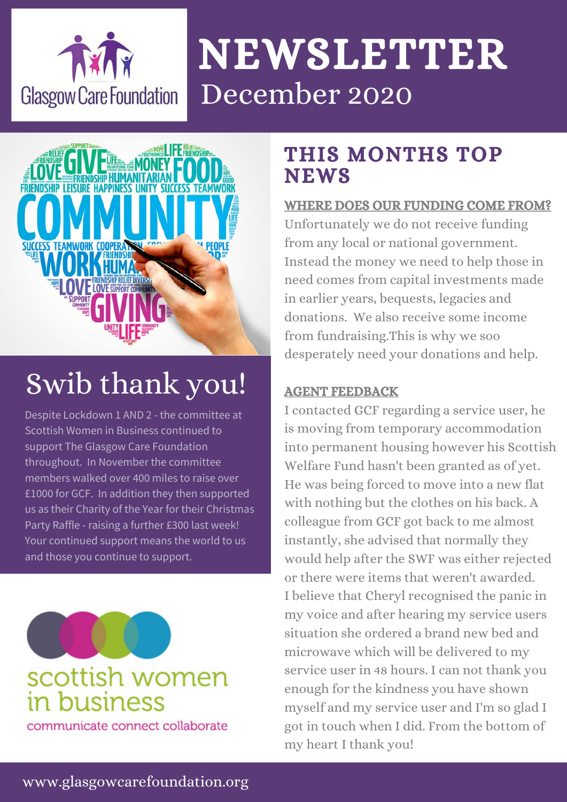

# NEWSLETTER December 2020



## Swib thank you!

Despite Lockdown 1 AND 2 - the committee at Scottish Women in Business continued to support The Glasgow Care Foundation throughout. In November the committee members walked over 400 miles to raise over £1000 for GCF. In addition they then supported us as their Charity of the Year for their Christmas Party Raffle - raising a further £300 last week! Your continued support means the world to us and those you continue to support.



## scottish women in business

communicate connect collaborate

### THIS MONTHS TOP **NEWS**

#### WHERE DOES OUR FUNDING COME FROM?

Unfortunately we do not receive funding from any local or national government. Instead the money we need to help those in need comes from capital investments made in earlier years, bequests, legacies and donations. We also receive some income from fundraising.This is why we soo desperately need your donations and help.

#### AGENT FEEDBACK

I contacted GCF regarding a service user, he is moving from temporary accommodation into permanent housing however his Scottish Welfare Fund hasn't been granted as of yet. He was being forced to move into a new flat with nothing but the clothes on his back. A colleague from GCF got back to me almost instantly, she advised that normally they would help after the SWF was either rejected or there were items that weren't awarded. I believe that Cheryl recognised the panic in my voice and after hearing my service users situation she ordered a brand new bed and microwave which will be delivered to my service user in 48 hours. I can not thank you enough for the kindness you have shown myself and my service user and I'm so glad I got in touch when I did. From the bottom of my heart I thank you!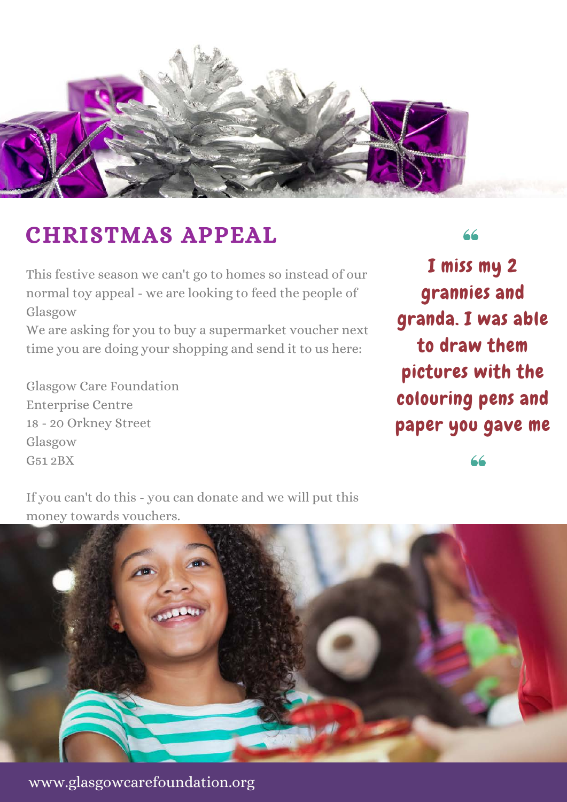

## CHRISTMAS APPEAL

This festive season we can't go to homes so instead of our normal toy appeal - we are looking to feed the people of Glasgow

We are asking for you to buy a supermarket voucher next time you are doing your shopping and send it to us here:

Glasgow Care Foundation Enterprise Centre 18 - 20 Orkney Street Glasgow G51 2BX

66

I miss my 2 grannies and granda. I was able to draw them pictures with the colouring pens and paper you gave me

66

If you can't do this - you can donate and we will put this money towards vouchers.



www.glasgowcarefoundation.org